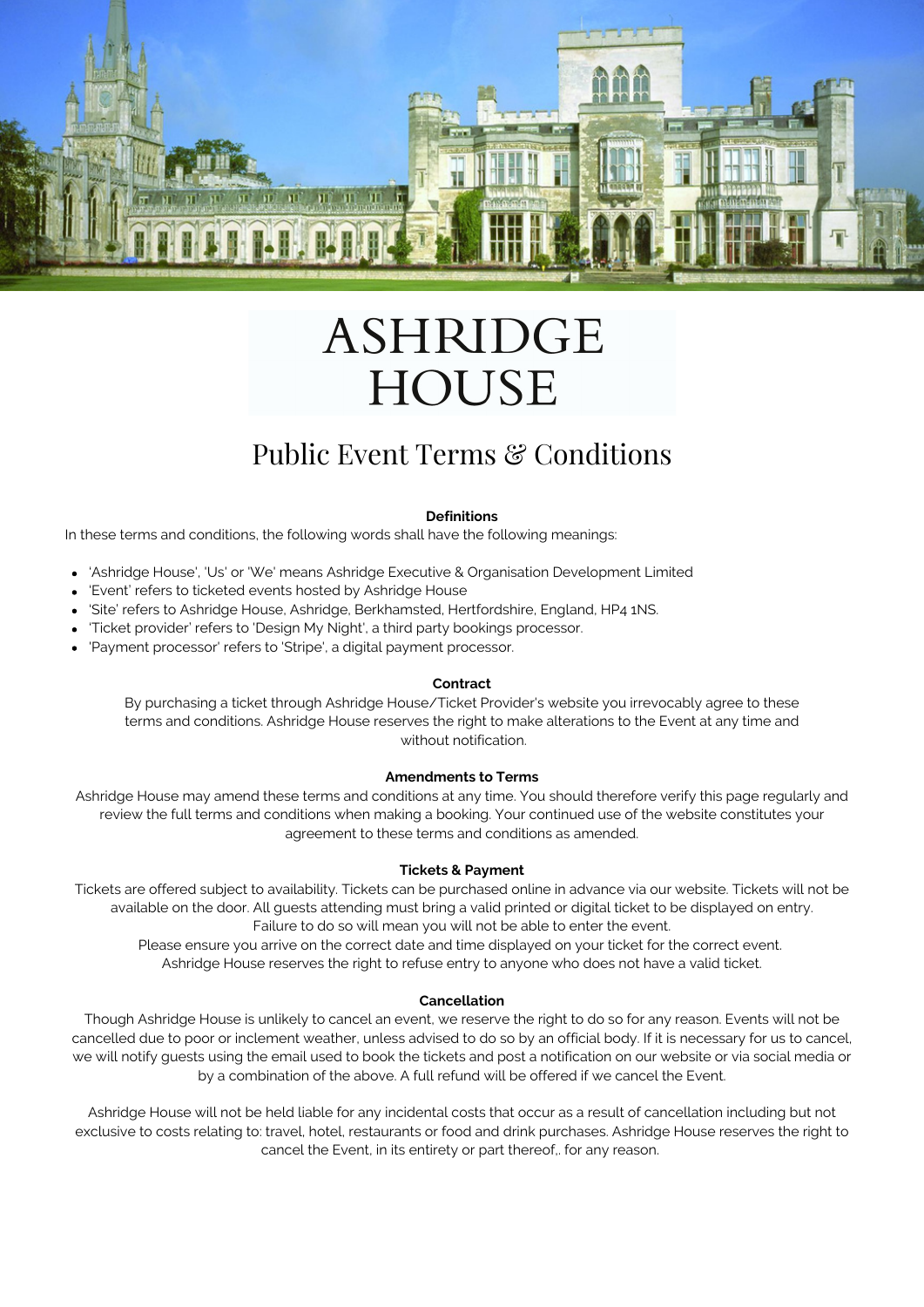

# **ASHRIDGE HOUSE**

# Public Event Terms & Conditions

# **Definitions**

In these terms and conditions, the following words shall have the following meanings:

- 'Ashridge House', 'Us' or 'We' means Ashridge Executive & Organisation Development Limited
- 'Event' refers to ticketed events hosted by Ashridge House
- 'Site' refers to Ashridge House, Ashridge, Berkhamsted, Hertfordshire, England, HP4 1NS.
- 'Ticket provider' refers to 'Design My Night', a third party bookings processor.
- 'Payment processor' refers to 'Stripe', a digital payment processor.

# **Contract**

By purchasing a ticket through Ashridge House/Ticket Provider's website you irrevocably agree to these terms and conditions. Ashridge House reserves the right to make alterations to the Event at any time and without notification.

# **Amendments to Terms**

Ashridge House may amend these terms and conditions at any time. You should therefore verify this page regularly and review the full terms and conditions when making a booking. Your continued use of the website constitutes your agreement to these terms and conditions as amended.

# **Tickets & Payment**

Tickets are offered subject to availability. Tickets can be purchased online in advance via our website. Tickets will not be available on the door. All guests attending must bring a valid printed or digital ticket to be displayed on entry. Failure to do so will mean you will not be able to enter the event.

Please ensure you arrive on the correct date and time displayed on your ticket for the correct event. Ashridge House reserves the right to refuse entry to anyone who does not have a valid ticket.

# **Cancellation**

Though Ashridge House is unlikely to cancel an event, we reserve the right to do so for any reason. Events will not be cancelled due to poor or inclement weather, unless advised to do so by an official body. If it is necessary for us to cancel, we will notify guests using the email used to book the tickets and post a notification on our website or via social media or by a combination of the above. A full refund will be offered if we cancel the Event.

Ashridge House will not be held liable for any incidental costs that occur as a result of cancellation including but not exclusive to costs relating to: travel, hotel, restaurants or food and drink purchases. Ashridge House reserves the right to cancel the Event, in its entirety or part thereof,. for any reason.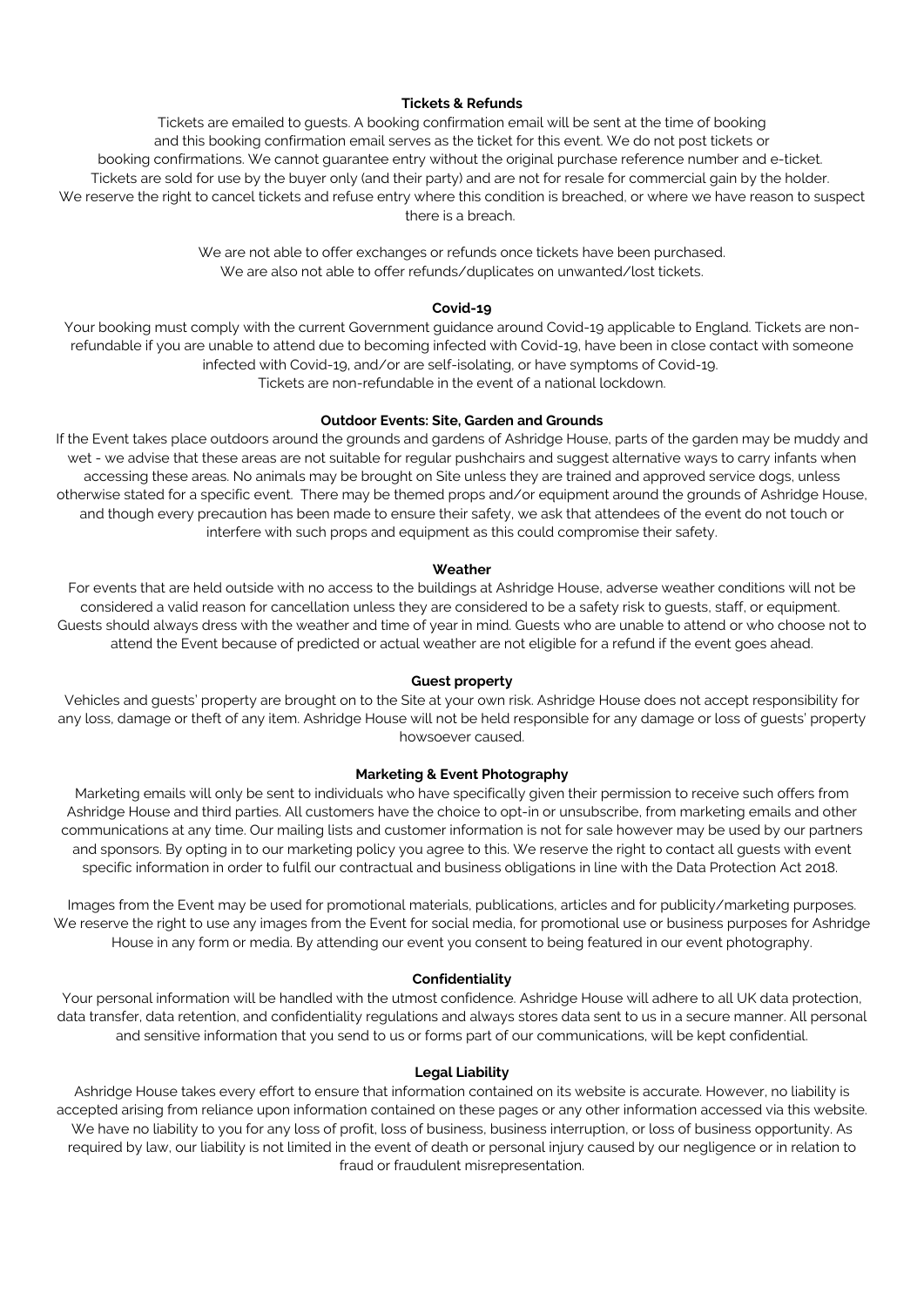# **Tickets & Refunds**

Tickets are emailed to guests. A booking confirmation email will be sent at the time of booking and this booking confirmation email serves as the ticket for this event. We do not post tickets or booking confirmations. We cannot guarantee entry without the original purchase reference number and e-ticket. Tickets are sold for use by the buyer only (and their party) and are not for resale for commercial gain by the holder. We reserve the right to cancel tickets and refuse entry where this condition is breached, or where we have reason to suspect there is a breach.

> We are not able to offer exchanges or refunds once tickets have been purchased. We are also not able to offer refunds/duplicates on unwanted/lost tickets.

# **Covid-19**

Your booking must comply with the current Government guidance around Covid-19 applicable to England. Tickets are nonrefundable if you are unable to attend due to becoming infected with Covid-19, have been in close contact with someone infected with Covid-19, and/or are self-isolating, or have symptoms of Covid-19. Tickets are non-refundable in the event of a national lockdown.

# **Outdoor Events: Site, Garden and Grounds**

If the Event takes place outdoors around the grounds and gardens of Ashridge House, parts of the garden may be muddy and wet - we advise that these areas are not suitable for regular pushchairs and suggest alternative ways to carry infants when accessing these areas. No animals may be brought on Site unless they are trained and approved service dogs, unless otherwise stated for a specific event. There may be themed props and/or equipment around the grounds of Ashridge House, and though every precaution has been made to ensure their safety, we ask that attendees of the event do not touch or interfere with such props and equipment as this could compromise their safety.

#### **Weather**

For events that are held outside with no access to the buildings at Ashridge House, adverse weather conditions will not be considered a valid reason for cancellation unless they are considered to be a safety risk to guests, staff, or equipment. Guests should always dress with the weather and time of year in mind. Guests who are unable to attend or who choose not to attend the Event because of predicted or actual weather are not eligible for a refund if the event goes ahead.

# **Guest property**

Vehicles and guests' property are brought on to the Site at your own risk. Ashridge House does not accept responsibility for any loss, damage or theft of any item. Ashridge House will not be held responsible for any damage or loss of guests' property howsoever caused.

#### **Marketing & Event Photography**

Marketing emails will only be sent to individuals who have specifically given their permission to receive such offers from Ashridge House and third parties. All customers have the choice to opt-in or unsubscribe, from marketing emails and other communications at any time. Our mailing lists and customer information is not for sale however may be used by our partners and sponsors. By opting in to our marketing policy you agree to this. We reserve the right to contact all guests with event specific information in order to fulfil our contractual and business obligations in line with the Data Protection Act 2018.

Images from the Event may be used for promotional materials, publications, articles and for publicity/marketing purposes. We reserve the right to use any images from the Event for social media, for promotional use or business purposes for Ashridge House in any form or media. By attending our event you consent to being featured in our event photography.

# **Confidentiality**

Your personal information will be handled with the utmost confidence. Ashridge House will adhere to all UK data protection, data transfer, data retention, and confidentiality regulations and always stores data sent to us in a secure manner. All personal and sensitive information that you send to us or forms part of our communications, will be kept confidential.

#### **Legal Liability**

Ashridge House takes every effort to ensure that information contained on its website is accurate. However, no liability is accepted arising from reliance upon information contained on these pages or any other information accessed via this website. We have no liability to you for any loss of profit, loss of business, business interruption, or loss of business opportunity. As required by law, our liability is not limited in the event of death or personal injury caused by our negligence or in relation to fraud or fraudulent misrepresentation.